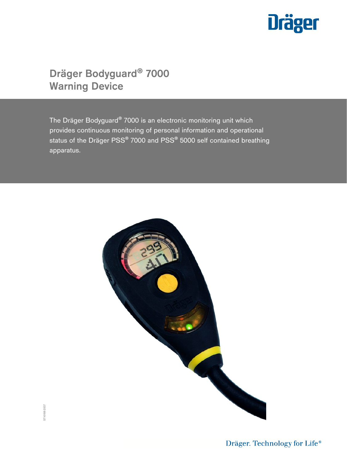

# Dräger Bodyguard® 7000 Warning Device

The Dräger Bodyguard® 7000 is an electronic monitoring unit which provides continuous monitoring of personal information and operational status of the Dräger PSS® 7000 and PSS® 5000 self contained breathing apparatus.

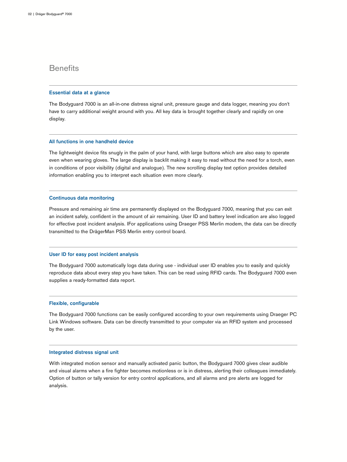# **Benefits**

### Essential data at a glance

The Bodyguard 7000 is an all-in-one distress signal unit, pressure gauge and data logger, meaning you don't have to carry additional weight around with you. All key data is brought together clearly and rapidly on one display.

### All functions in one handheld device

The lightweight device fits snugly in the palm of your hand, with large buttons which are also easy to operate even when wearing gloves. The large display is backlit making it easy to read without the need for a torch, even in conditions of poor visibility (digital and analogue). The new scrolling display text option provides detailed information enabling you to interpret each situation even more clearly.

### Continuous data monitoring

Pressure and remaining air time are permanently displayed on the Bodyguard 7000, meaning that you can exit an incident safely, confident in the amount of air remaining. User ID and battery level indication are also logged for effective post incident analysis. IFor applications using Draeger PSS Merlin modem, the data can be directly transmitted to the DrägerMan PSS Merlin entry control board.

### User ID for easy post incident analysis

The Bodyguard 7000 automatically logs data during use - individual user ID enables you to easily and quickly reproduce data about every step you have taken. This can be read using RFID cards. The Bodyguard 7000 even supplies a ready-formatted data report.

### Flexible, configurable

The Bodyguard 7000 functions can be easily configured according to your own requirements using Draeger PC Link Windows software. Data can be directly transmitted to your computer via an RFID system and processed by the user.

### Integrated distress signal unit

With integrated motion sensor and manually activated panic button, the Bodyguard 7000 gives clear audible and visual alarms when a fire fighter becomes motionless or is in distress, alerting their colleagues immediately. Option of button or tally version for entry control applications, and all alarms and pre alerts are logged for analysis.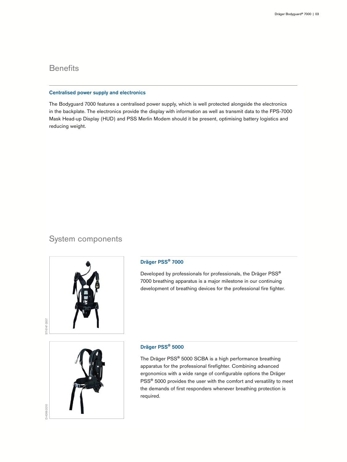# **Benefits**

### Centralised power supply and electronics

The Bodyguard 7000 features a centralised power supply, which is well protected alongside the electronics in the backplate. The electronics provide the display with information as well as transmit data to the FPS-7000 Mask Head-up Display (HUD) and PSS Merlin Modem should it be present, optimising battery logistics and reducing weight.

## System components



### Dräger PSS® 7000

Developed by professionals for professionals, the Dräger PSS® 7000 breathing apparatus is a major milestone in our continuing development of breathing devices for the professional fire fighter.



D-4266-2010

D-4266-2010

### Dräger PSS® 5000

The Dräger PSS® 5000 SCBA is a high performance breathing apparatus for the professional firefighter. Combining advanced ergonomics with a wide range of configurable options the Dräger PSS<sup>®</sup> 5000 provides the user with the comfort and versatility to meet the demands of first responders whenever breathing protection is required.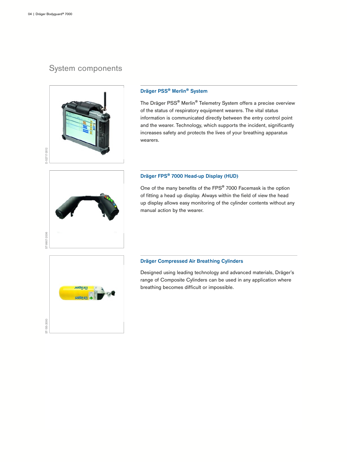# System components



### Dräger PSS® Merlin® System

The Dräger PSS® Merlin® Telemetry System offers a precise overview of the status of respiratory equipment wearers. The vital status information is communicated directly between the entry control point and the wearer. Technology, which supports the incident, significantly increases safety and protects the lives of your breathing apparatus wearers.



### Dräger FPS® 7000 Head-up Display (HUD)

One of the many benefits of the FPS® 7000 Facemask is the option of fitting a head up display. Always within the field of view the head up display allows easy monitoring of the cylinder contents without any manual action by the wearer.



### Dräger Compressed Air Breathing Cylinders

Designed using leading technology and advanced materials, Dräger's range of Composite Cylinders can be used in any application where breathing becomes difficult or impossible.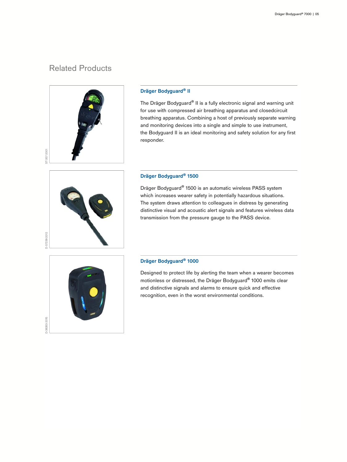# Related Products



### Dräger Bodyguard® II

The Dräger Bodyguard® II is a fully electronic signal and warning unit for use with compressed air breathing apparatus and closedcircuit breathing apparatus. Combining a host of previously separate warning and monitoring devices into a single and simple to use instrument, the Bodyguard II is an ideal monitoring and safety solution for any first responder.



### Dräger Bodyguard® 1500

Dräger Bodyguard® 1500 is an automatic wireless PASS system which increases wearer safety in potentially hazardous situations. The system draws attention to colleagues in distress by generating distinctive visual and acoustic alert signals and features wireless data transmission from the pressure gauge to the PASS device.



### Dräger Bodyguard® 1000

Designed to protect life by alerting the team when a wearer becomes motionless or distressed, the Dräger Bodyguard® 1000 emits clear and distinctive signals and alarms to ensure quick and effective recognition, even in the worst environmental conditions.